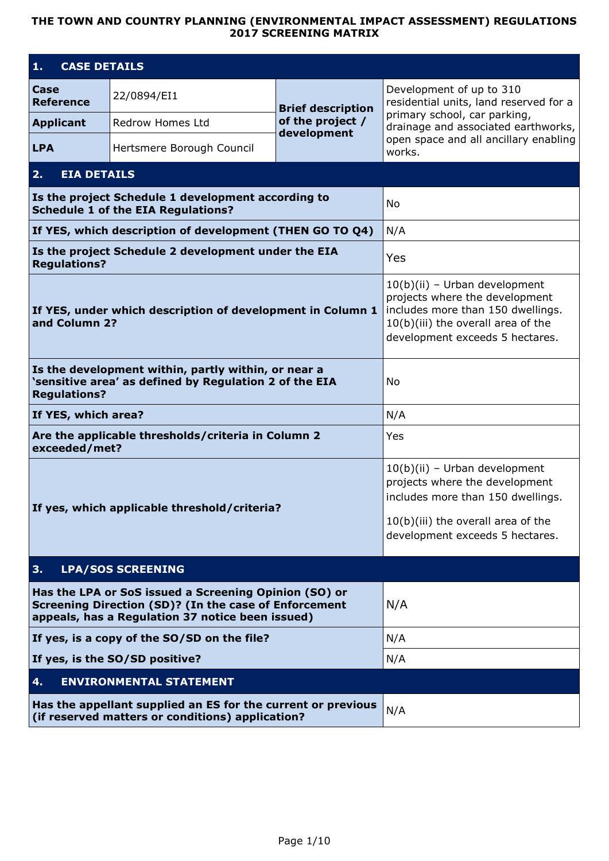## **THE TOWN AND COUNTRY PLANNING (ENVIRONMENTAL IMPACT ASSESSMENT) REGULATIONS 2017 SCREENING MATRIX**

| <b>CASE DETAILS</b><br>1.                                                                                        |                                                                                                                                                                           |                                                                                                                                                                                   |                                                                                                    |
|------------------------------------------------------------------------------------------------------------------|---------------------------------------------------------------------------------------------------------------------------------------------------------------------------|-----------------------------------------------------------------------------------------------------------------------------------------------------------------------------------|----------------------------------------------------------------------------------------------------|
| Case<br><b>Reference</b>                                                                                         | 22/0894/EI1                                                                                                                                                               | <b>Brief description</b>                                                                                                                                                          | Development of up to 310<br>residential units, land reserved for a<br>primary school, car parking, |
| <b>Applicant</b>                                                                                                 | Redrow Homes Ltd                                                                                                                                                          | of the project /<br>development                                                                                                                                                   | drainage and associated earthworks,                                                                |
| <b>LPA</b>                                                                                                       | Hertsmere Borough Council                                                                                                                                                 |                                                                                                                                                                                   | open space and all ancillary enabling<br>works.                                                    |
| <b>EIA DETAILS</b><br>2.                                                                                         |                                                                                                                                                                           |                                                                                                                                                                                   |                                                                                                    |
|                                                                                                                  | Is the project Schedule 1 development according to<br><b>Schedule 1 of the EIA Regulations?</b>                                                                           |                                                                                                                                                                                   | No                                                                                                 |
|                                                                                                                  | If YES, which description of development (THEN GO TO Q4)                                                                                                                  |                                                                                                                                                                                   | N/A                                                                                                |
| <b>Regulations?</b>                                                                                              | Is the project Schedule 2 development under the EIA                                                                                                                       |                                                                                                                                                                                   | Yes                                                                                                |
| and Column 2?                                                                                                    | If YES, under which description of development in Column 1                                                                                                                | $10(b)(ii)$ – Urban development<br>projects where the development<br>includes more than 150 dwellings.<br>10(b)(iii) the overall area of the<br>development exceeds 5 hectares.   |                                                                                                    |
| <b>Regulations?</b>                                                                                              | Is the development within, partly within, or near a<br>'sensitive area' as defined by Regulation 2 of the EIA                                                             | N٥                                                                                                                                                                                |                                                                                                    |
| If YES, which area?                                                                                              |                                                                                                                                                                           | N/A                                                                                                                                                                               |                                                                                                    |
| exceeded/met?                                                                                                    | Are the applicable thresholds/criteria in Column 2                                                                                                                        |                                                                                                                                                                                   | Yes                                                                                                |
|                                                                                                                  | If yes, which applicable threshold/criteria?                                                                                                                              | $10(b)(ii)$ – Urban development<br>projects where the development<br>includes more than 150 dwellings.<br>$10(b)(iii)$ the overall area of the<br>development exceeds 5 hectares. |                                                                                                    |
| 3.                                                                                                               | <b>LPA/SOS SCREENING</b>                                                                                                                                                  |                                                                                                                                                                                   |                                                                                                    |
|                                                                                                                  | Has the LPA or SoS issued a Screening Opinion (SO) or<br><b>Screening Direction (SD)? (In the case of Enforcement</b><br>appeals, has a Regulation 37 notice been issued) | N/A                                                                                                                                                                               |                                                                                                    |
|                                                                                                                  | If yes, is a copy of the SO/SD on the file?                                                                                                                               |                                                                                                                                                                                   | N/A                                                                                                |
|                                                                                                                  | If yes, is the SO/SD positive?                                                                                                                                            |                                                                                                                                                                                   | N/A                                                                                                |
| 4.                                                                                                               | <b>ENVIRONMENTAL STATEMENT</b>                                                                                                                                            |                                                                                                                                                                                   |                                                                                                    |
| Has the appellant supplied an ES for the current or previous<br>(if reserved matters or conditions) application? |                                                                                                                                                                           | N/A                                                                                                                                                                               |                                                                                                    |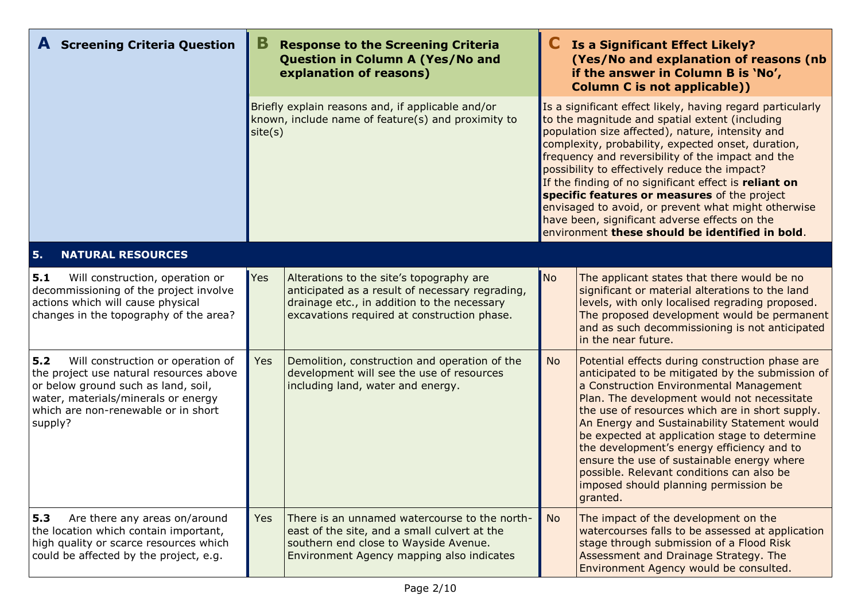| <b>A</b> Screening Criteria Question                                                                                                                                                                                |            | <b>Response to the Screening Criteria</b><br>Question in Column A (Yes/No and<br>explanation of reasons)                                                                                  | <b>Is a Significant Effect Likely?</b><br>(Yes/No and explanation of reasons (nb<br>if the answer in Column B is 'No',<br><b>Column C is not applicable))</b> |                                                                                                                                                                                                                                                                                                                                                                                                                                                                                                                                                                                                  |  |
|---------------------------------------------------------------------------------------------------------------------------------------------------------------------------------------------------------------------|------------|-------------------------------------------------------------------------------------------------------------------------------------------------------------------------------------------|---------------------------------------------------------------------------------------------------------------------------------------------------------------|--------------------------------------------------------------------------------------------------------------------------------------------------------------------------------------------------------------------------------------------------------------------------------------------------------------------------------------------------------------------------------------------------------------------------------------------------------------------------------------------------------------------------------------------------------------------------------------------------|--|
|                                                                                                                                                                                                                     |            | Briefly explain reasons and, if applicable and/or<br>known, include name of feature(s) and proximity to<br>site(s)                                                                        |                                                                                                                                                               | Is a significant effect likely, having regard particularly<br>to the magnitude and spatial extent (including<br>population size affected), nature, intensity and<br>complexity, probability, expected onset, duration,<br>frequency and reversibility of the impact and the<br>possibility to effectively reduce the impact?<br>If the finding of no significant effect is reliant on<br>specific features or measures of the project<br>envisaged to avoid, or prevent what might otherwise<br>have been, significant adverse effects on the<br>environment these should be identified in bold. |  |
| 5.<br><b>NATURAL RESOURCES</b>                                                                                                                                                                                      |            |                                                                                                                                                                                           |                                                                                                                                                               |                                                                                                                                                                                                                                                                                                                                                                                                                                                                                                                                                                                                  |  |
| 5.1<br>Will construction, operation or<br>decommissioning of the project involve<br>actions which will cause physical<br>changes in the topography of the area?                                                     | <b>Yes</b> | Alterations to the site's topography are<br>anticipated as a result of necessary regrading,<br>drainage etc., in addition to the necessary<br>excavations required at construction phase. | No                                                                                                                                                            | The applicant states that there would be no<br>significant or material alterations to the land<br>levels, with only localised regrading proposed.<br>The proposed development would be permanent<br>and as such decommissioning is not anticipated<br>in the near future.                                                                                                                                                                                                                                                                                                                        |  |
| 5.2<br>Will construction or operation of<br>the project use natural resources above<br>or below ground such as land, soil,<br>water, materials/minerals or energy<br>which are non-renewable or in short<br>supply? | <b>Yes</b> | Demolition, construction and operation of the<br>development will see the use of resources<br>including land, water and energy.                                                           | <b>No</b>                                                                                                                                                     | Potential effects during construction phase are<br>anticipated to be mitigated by the submission of<br>a Construction Environmental Management<br>Plan. The development would not necessitate<br>the use of resources which are in short supply.<br>An Energy and Sustainability Statement would<br>be expected at application stage to determine<br>the development's energy efficiency and to<br>ensure the use of sustainable energy where<br>possible. Relevant conditions can also be<br>imposed should planning permission be<br>granted.                                                  |  |
| 5.3<br>Are there any areas on/around<br>the location which contain important,<br>high quality or scarce resources which<br>could be affected by the project, e.g.                                                   | <b>Yes</b> | There is an unnamed watercourse to the north-<br>east of the site, and a small culvert at the<br>southern end close to Wayside Avenue.<br>Environment Agency mapping also indicates       | <b>No</b>                                                                                                                                                     | The impact of the development on the<br>watercourses falls to be assessed at application<br>stage through submission of a Flood Risk<br>Assessment and Drainage Strategy. The<br>Environment Agency would be consulted.                                                                                                                                                                                                                                                                                                                                                                          |  |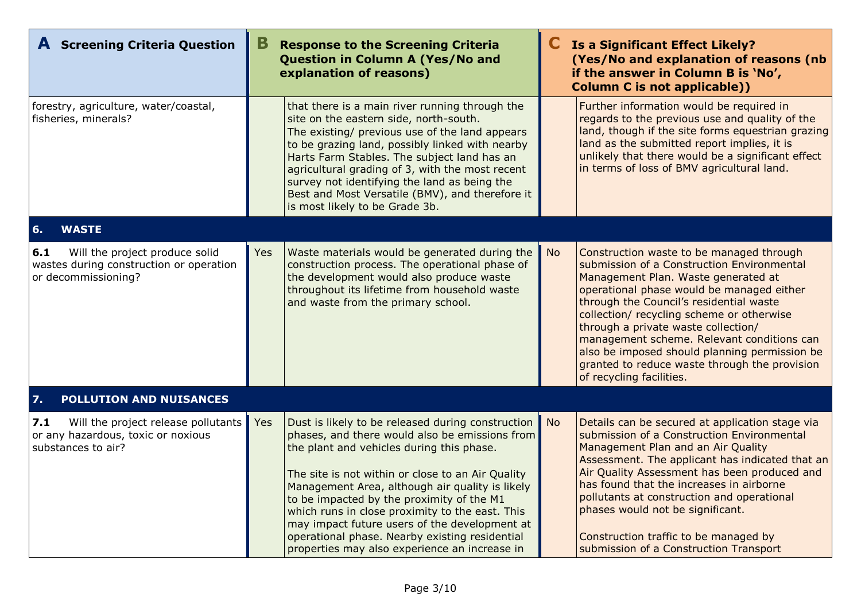| <b>A</b> Screening Criteria Question                                                                    | В   | <b>Response to the Screening Criteria</b><br><b>Question in Column A (Yes/No and</b><br>explanation of reasons)                                                                                                                                                                                                                                                                                                                                                                                              |           | Is a Significant Effect Likely?<br>(Yes/No and explanation of reasons (nb<br>if the answer in Column B is 'No',<br><b>Column C is not applicable))</b>                                                                                                                                                                                                                                                                                                                                |
|---------------------------------------------------------------------------------------------------------|-----|--------------------------------------------------------------------------------------------------------------------------------------------------------------------------------------------------------------------------------------------------------------------------------------------------------------------------------------------------------------------------------------------------------------------------------------------------------------------------------------------------------------|-----------|---------------------------------------------------------------------------------------------------------------------------------------------------------------------------------------------------------------------------------------------------------------------------------------------------------------------------------------------------------------------------------------------------------------------------------------------------------------------------------------|
| forestry, agriculture, water/coastal,<br>fisheries, minerals?                                           |     | that there is a main river running through the<br>site on the eastern side, north-south.<br>The existing/ previous use of the land appears<br>to be grazing land, possibly linked with nearby<br>Harts Farm Stables. The subject land has an<br>agricultural grading of 3, with the most recent<br>survey not identifying the land as being the<br>Best and Most Versatile (BMV), and therefore it<br>is most likely to be Grade 3b.                                                                         |           | Further information would be required in<br>regards to the previous use and quality of the<br>land, though if the site forms equestrian grazing<br>land as the submitted report implies, it is<br>unlikely that there would be a significant effect<br>in terms of loss of BMV agricultural land.                                                                                                                                                                                     |
| 6.<br><b>WASTE</b>                                                                                      |     |                                                                                                                                                                                                                                                                                                                                                                                                                                                                                                              |           |                                                                                                                                                                                                                                                                                                                                                                                                                                                                                       |
| 6.1<br>Will the project produce solid<br>wastes during construction or operation<br>or decommissioning? | Yes | Waste materials would be generated during the<br>construction process. The operational phase of<br>the development would also produce waste<br>throughout its lifetime from household waste<br>and waste from the primary school.                                                                                                                                                                                                                                                                            | <b>No</b> | Construction waste to be managed through<br>submission of a Construction Environmental<br>Management Plan. Waste generated at<br>operational phase would be managed either<br>through the Council's residential waste<br>collection/ recycling scheme or otherwise<br>through a private waste collection/<br>management scheme. Relevant conditions can<br>also be imposed should planning permission be<br>granted to reduce waste through the provision<br>of recycling facilities. |
| 7.<br>POLLUTION AND NUISANCES                                                                           |     |                                                                                                                                                                                                                                                                                                                                                                                                                                                                                                              |           |                                                                                                                                                                                                                                                                                                                                                                                                                                                                                       |
| 7.1<br>Will the project release pollutants<br>or any hazardous, toxic or noxious<br>substances to air?  | Yes | Dust is likely to be released during construction<br>phases, and there would also be emissions from<br>the plant and vehicles during this phase.<br>The site is not within or close to an Air Quality<br>Management Area, although air quality is likely<br>to be impacted by the proximity of the M1<br>which runs in close proximity to the east. This<br>may impact future users of the development at<br>operational phase. Nearby existing residential<br>properties may also experience an increase in | <b>No</b> | Details can be secured at application stage via<br>submission of a Construction Environmental<br>Management Plan and an Air Quality<br>Assessment. The applicant has indicated that an<br>Air Quality Assessment has been produced and<br>has found that the increases in airborne<br>pollutants at construction and operational<br>phases would not be significant.<br>Construction traffic to be managed by<br>submission of a Construction Transport                               |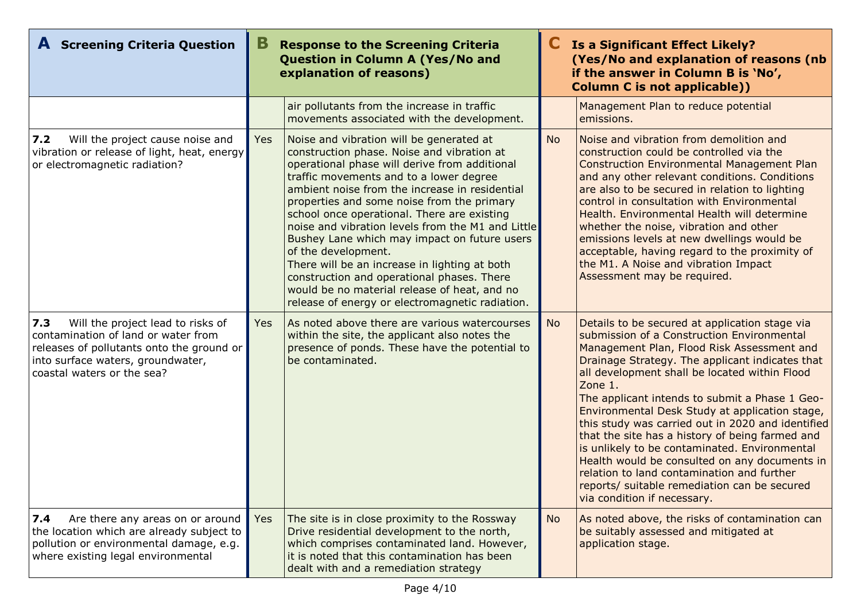| <b>A</b> Screening Criteria Question                                                                                                                                                            | В<br><b>Response to the Screening Criteria</b><br>Question in Column A (Yes/No and<br>explanation of reasons) |                                                                                                                                                                                                                                                                                                                                                                                                                                                                                                                                                                                                                                                                 |           | <b>Is a Significant Effect Likely?</b><br>(Yes/No and explanation of reasons (nb<br>if the answer in Column B is 'No',<br><b>Column C is not applicable))</b>                                                                                                                                                                                                                                                                                                                                                                                                                                                                                                                                        |
|-------------------------------------------------------------------------------------------------------------------------------------------------------------------------------------------------|---------------------------------------------------------------------------------------------------------------|-----------------------------------------------------------------------------------------------------------------------------------------------------------------------------------------------------------------------------------------------------------------------------------------------------------------------------------------------------------------------------------------------------------------------------------------------------------------------------------------------------------------------------------------------------------------------------------------------------------------------------------------------------------------|-----------|------------------------------------------------------------------------------------------------------------------------------------------------------------------------------------------------------------------------------------------------------------------------------------------------------------------------------------------------------------------------------------------------------------------------------------------------------------------------------------------------------------------------------------------------------------------------------------------------------------------------------------------------------------------------------------------------------|
|                                                                                                                                                                                                 |                                                                                                               | air pollutants from the increase in traffic<br>movements associated with the development.                                                                                                                                                                                                                                                                                                                                                                                                                                                                                                                                                                       |           | Management Plan to reduce potential<br>emissions.                                                                                                                                                                                                                                                                                                                                                                                                                                                                                                                                                                                                                                                    |
| $7.2$<br>Will the project cause noise and<br>vibration or release of light, heat, energy<br>or electromagnetic radiation?                                                                       | <b>Yes</b>                                                                                                    | Noise and vibration will be generated at<br>construction phase. Noise and vibration at<br>operational phase will derive from additional<br>traffic movements and to a lower degree<br>ambient noise from the increase in residential<br>properties and some noise from the primary<br>school once operational. There are existing<br>noise and vibration levels from the M1 and Little<br>Bushey Lane which may impact on future users<br>of the development.<br>There will be an increase in lighting at both<br>construction and operational phases. There<br>would be no material release of heat, and no<br>release of energy or electromagnetic radiation. | <b>No</b> | Noise and vibration from demolition and<br>construction could be controlled via the<br><b>Construction Environmental Management Plan</b><br>and any other relevant conditions. Conditions<br>are also to be secured in relation to lighting<br>control in consultation with Environmental<br>Health. Environmental Health will determine<br>whether the noise, vibration and other<br>emissions levels at new dwellings would be<br>acceptable, having regard to the proximity of<br>the M1. A Noise and vibration Impact<br>Assessment may be required.                                                                                                                                             |
| 7.3<br>Will the project lead to risks of<br>contamination of land or water from<br>releases of pollutants onto the ground or<br>into surface waters, groundwater,<br>coastal waters or the sea? | Yes                                                                                                           | As noted above there are various watercourses<br>within the site, the applicant also notes the<br>presence of ponds. These have the potential to<br>be contaminated.                                                                                                                                                                                                                                                                                                                                                                                                                                                                                            | <b>No</b> | Details to be secured at application stage via<br>submission of a Construction Environmental<br>Management Plan, Flood Risk Assessment and<br>Drainage Strategy. The applicant indicates that<br>all development shall be located within Flood<br>Zone 1.<br>The applicant intends to submit a Phase 1 Geo-<br>Environmental Desk Study at application stage,<br>this study was carried out in 2020 and identified<br>that the site has a history of being farmed and<br>is unlikely to be contaminated. Environmental<br>Health would be consulted on any documents in<br>relation to land contamination and further<br>reports/ suitable remediation can be secured<br>via condition if necessary. |
| 7.4<br>Are there any areas on or around<br>the location which are already subject to<br>pollution or environmental damage, e.g.<br>where existing legal environmental                           | <b>Yes</b>                                                                                                    | The site is in close proximity to the Rossway<br>Drive residential development to the north,<br>which comprises contaminated land. However,<br>it is noted that this contamination has been<br>dealt with and a remediation strategy                                                                                                                                                                                                                                                                                                                                                                                                                            | <b>No</b> | As noted above, the risks of contamination can<br>be suitably assessed and mitigated at<br>application stage.                                                                                                                                                                                                                                                                                                                                                                                                                                                                                                                                                                                        |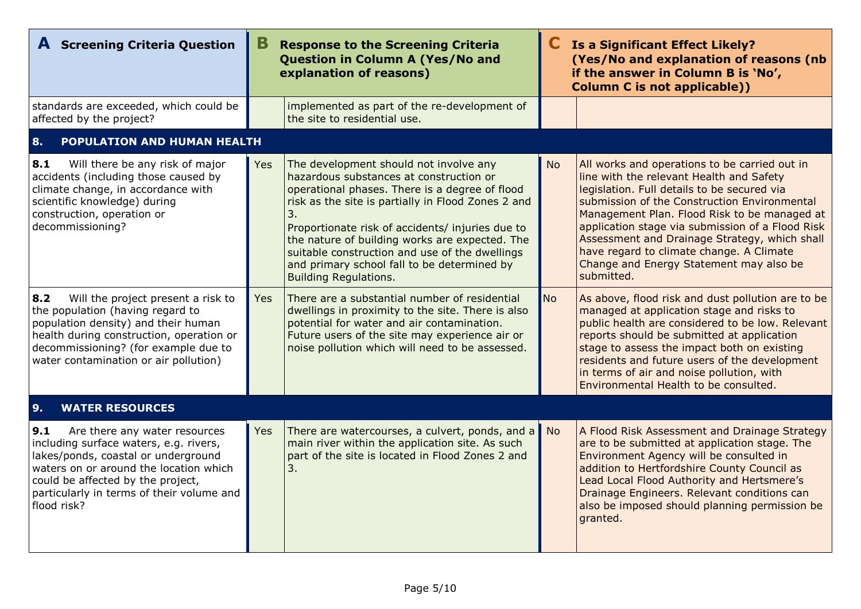| <b>A</b> Screening Criteria Question                                                                                                                                                                                                                             | В          | <b>Response to the Screening Criteria</b><br>Question in Column A (Yes/No and<br>explanation of reasons)                                                                                                                                                                                                                                                                                                                               |           | Is a Significant Effect Likely?<br>(Yes/No and explanation of reasons (nb<br>if the answer in Column B is 'No',<br><b>Column C is not applicable))</b>                                                                                                                                                                                                                                                                                             |
|------------------------------------------------------------------------------------------------------------------------------------------------------------------------------------------------------------------------------------------------------------------|------------|----------------------------------------------------------------------------------------------------------------------------------------------------------------------------------------------------------------------------------------------------------------------------------------------------------------------------------------------------------------------------------------------------------------------------------------|-----------|----------------------------------------------------------------------------------------------------------------------------------------------------------------------------------------------------------------------------------------------------------------------------------------------------------------------------------------------------------------------------------------------------------------------------------------------------|
| standards are exceeded, which could be<br>affected by the project?                                                                                                                                                                                               |            | implemented as part of the re-development of<br>the site to residential use.                                                                                                                                                                                                                                                                                                                                                           |           |                                                                                                                                                                                                                                                                                                                                                                                                                                                    |
| POPULATION AND HUMAN HEALTH<br>8.                                                                                                                                                                                                                                |            |                                                                                                                                                                                                                                                                                                                                                                                                                                        |           |                                                                                                                                                                                                                                                                                                                                                                                                                                                    |
| 8.1<br>Will there be any risk of major<br>accidents (including those caused by<br>climate change, in accordance with<br>scientific knowledge) during<br>construction, operation or<br>decommissioning?                                                           | Yes        | The development should not involve any<br>hazardous substances at construction or<br>operational phases. There is a degree of flood<br>risk as the site is partially in Flood Zones 2 and<br>3.<br>Proportionate risk of accidents/ injuries due to<br>the nature of building works are expected. The<br>suitable construction and use of the dwellings<br>and primary school fall to be determined by<br><b>Building Regulations.</b> | <b>No</b> | All works and operations to be carried out in<br>line with the relevant Health and Safety<br>legislation. Full details to be secured via<br>submission of the Construction Environmental<br>Management Plan. Flood Risk to be managed at<br>application stage via submission of a Flood Risk<br>Assessment and Drainage Strategy, which shall<br>have regard to climate change. A Climate<br>Change and Energy Statement may also be<br>submitted. |
| 8.2<br>Will the project present a risk to<br>the population (having regard to<br>population density) and their human<br>health during construction, operation or<br>decommissioning? (for example due to<br>water contamination or air pollution)                | <b>Yes</b> | There are a substantial number of residential<br>dwellings in proximity to the site. There is also<br>potential for water and air contamination.<br>Future users of the site may experience air or<br>noise pollution which will need to be assessed.                                                                                                                                                                                  | <b>No</b> | As above, flood risk and dust pollution are to be<br>managed at application stage and risks to<br>public health are considered to be low. Relevant<br>reports should be submitted at application<br>stage to assess the impact both on existing<br>residents and future users of the development<br>in terms of air and noise pollution, with<br>Environmental Health to be consulted.                                                             |
| 9.<br><b>WATER RESOURCES</b>                                                                                                                                                                                                                                     |            |                                                                                                                                                                                                                                                                                                                                                                                                                                        |           |                                                                                                                                                                                                                                                                                                                                                                                                                                                    |
| 9.1<br>Are there any water resources<br>including surface waters, e.g. rivers,<br>lakes/ponds, coastal or underground<br>waters on or around the location which<br>could be affected by the project,<br>particularly in terms of their volume and<br>flood risk? | Yes        | There are watercourses, a culvert, ponds, and a<br>main river within the application site. As such<br>part of the site is located in Flood Zones 2 and<br>3.                                                                                                                                                                                                                                                                           | No.       | A Flood Risk Assessment and Drainage Strategy<br>are to be submitted at application stage. The<br>Environment Agency will be consulted in<br>addition to Hertfordshire County Council as<br>Lead Local Flood Authority and Hertsmere's<br>Drainage Engineers. Relevant conditions can<br>also be imposed should planning permission be<br>granted.                                                                                                 |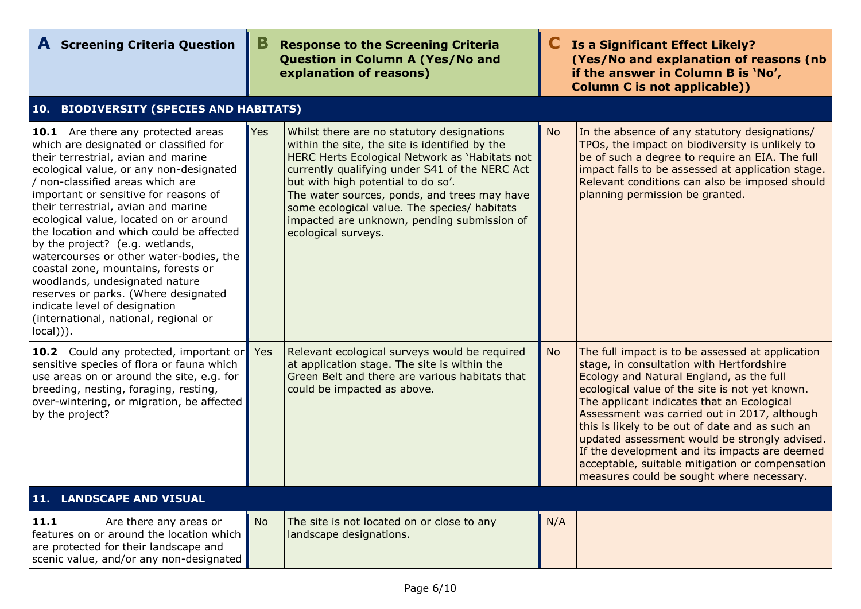| <b>A</b> Screening Criteria Question                                                                                                                                                                                                                                                                                                                                                                                                                                                                                                                                                                                                                                    | В          | <b>Response to the Screening Criteria</b><br>Question in Column A (Yes/No and<br>explanation of reasons)                                                                                                                                                                                                                                                                                                     |           | <b>Is a Significant Effect Likely?</b><br>(Yes/No and explanation of reasons (nb<br>if the answer in Column B is 'No',<br><b>Column C is not applicable))</b>                                                                                                                                                                                                                                                                                                                                                                                  |
|-------------------------------------------------------------------------------------------------------------------------------------------------------------------------------------------------------------------------------------------------------------------------------------------------------------------------------------------------------------------------------------------------------------------------------------------------------------------------------------------------------------------------------------------------------------------------------------------------------------------------------------------------------------------------|------------|--------------------------------------------------------------------------------------------------------------------------------------------------------------------------------------------------------------------------------------------------------------------------------------------------------------------------------------------------------------------------------------------------------------|-----------|------------------------------------------------------------------------------------------------------------------------------------------------------------------------------------------------------------------------------------------------------------------------------------------------------------------------------------------------------------------------------------------------------------------------------------------------------------------------------------------------------------------------------------------------|
| 10. BIODIVERSITY (SPECIES AND HABITATS)                                                                                                                                                                                                                                                                                                                                                                                                                                                                                                                                                                                                                                 |            |                                                                                                                                                                                                                                                                                                                                                                                                              |           |                                                                                                                                                                                                                                                                                                                                                                                                                                                                                                                                                |
| <b>10.1</b> Are there any protected areas<br>which are designated or classified for<br>their terrestrial, avian and marine<br>ecological value, or any non-designated<br>/ non-classified areas which are<br>important or sensitive for reasons of<br>their terrestrial, avian and marine<br>ecological value, located on or around<br>the location and which could be affected<br>by the project? (e.g. wetlands,<br>watercourses or other water-bodies, the<br>coastal zone, mountains, forests or<br>woodlands, undesignated nature<br>reserves or parks. (Where designated<br>indicate level of designation<br>(international, national, regional or<br>$local))$ . | Yes        | Whilst there are no statutory designations<br>within the site, the site is identified by the<br>HERC Herts Ecological Network as 'Habitats not<br>currently qualifying under S41 of the NERC Act<br>but with high potential to do so'.<br>The water sources, ponds, and trees may have<br>some ecological value. The species/ habitats<br>impacted are unknown, pending submission of<br>ecological surveys. | <b>No</b> | In the absence of any statutory designations/<br>TPOs, the impact on biodiversity is unlikely to<br>be of such a degree to require an EIA. The full<br>impact falls to be assessed at application stage.<br>Relevant conditions can also be imposed should<br>planning permission be granted.                                                                                                                                                                                                                                                  |
| <b>10.2</b> Could any protected, important or<br>sensitive species of flora or fauna which<br>use areas on or around the site, e.g. for<br>breeding, nesting, foraging, resting,<br>over-wintering, or migration, be affected<br>by the project?                                                                                                                                                                                                                                                                                                                                                                                                                        | <b>Yes</b> | Relevant ecological surveys would be required<br>at application stage. The site is within the<br>Green Belt and there are various habitats that<br>could be impacted as above.                                                                                                                                                                                                                               | <b>No</b> | The full impact is to be assessed at application<br>stage, in consultation with Hertfordshire<br>Ecology and Natural England, as the full<br>ecological value of the site is not yet known.<br>The applicant indicates that an Ecological<br>Assessment was carried out in 2017, although<br>this is likely to be out of date and as such an<br>updated assessment would be strongly advised.<br>If the development and its impacts are deemed<br>acceptable, suitable mitigation or compensation<br>measures could be sought where necessary. |
| 11. LANDSCAPE AND VISUAL                                                                                                                                                                                                                                                                                                                                                                                                                                                                                                                                                                                                                                                |            |                                                                                                                                                                                                                                                                                                                                                                                                              |           |                                                                                                                                                                                                                                                                                                                                                                                                                                                                                                                                                |
| 11.1<br>Are there any areas or<br>features on or around the location which<br>are protected for their landscape and<br>scenic value, and/or any non-designated                                                                                                                                                                                                                                                                                                                                                                                                                                                                                                          | <b>No</b>  | The site is not located on or close to any<br>landscape designations.                                                                                                                                                                                                                                                                                                                                        | N/A       |                                                                                                                                                                                                                                                                                                                                                                                                                                                                                                                                                |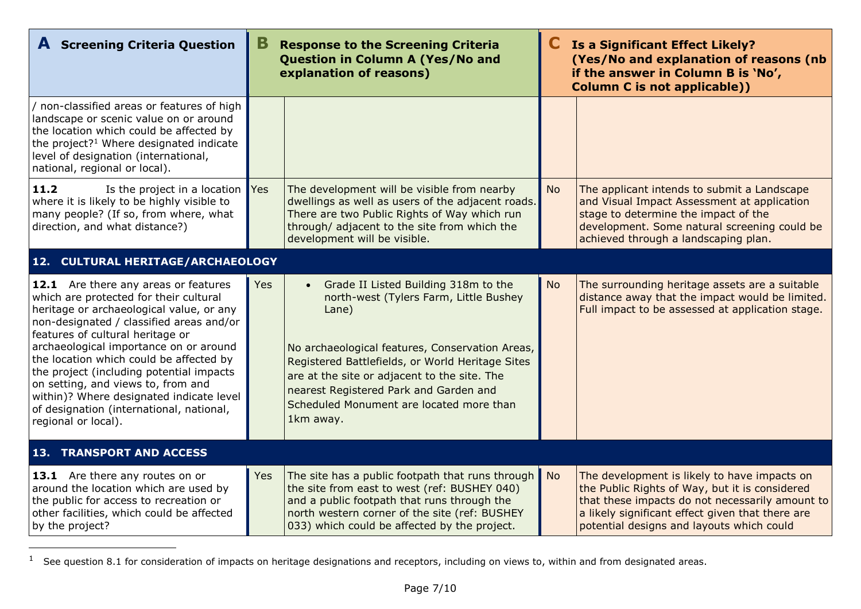| <b>A</b> Screening Criteria Question                                                                                                                                                                                                                                                                                                                                                                                                                                                             | В   | <b>Response to the Screening Criteria</b><br>Question in Column A (Yes/No and<br>explanation of reasons)                                                                                                                                                                                                                                          |           | <b>Is a Significant Effect Likely?</b><br>(Yes/No and explanation of reasons (nb<br>if the answer in Column B is 'No',<br><b>Column C is not applicable))</b>                                                                                      |
|--------------------------------------------------------------------------------------------------------------------------------------------------------------------------------------------------------------------------------------------------------------------------------------------------------------------------------------------------------------------------------------------------------------------------------------------------------------------------------------------------|-----|---------------------------------------------------------------------------------------------------------------------------------------------------------------------------------------------------------------------------------------------------------------------------------------------------------------------------------------------------|-----------|----------------------------------------------------------------------------------------------------------------------------------------------------------------------------------------------------------------------------------------------------|
| / non-classified areas or features of high<br>landscape or scenic value on or around<br>the location which could be affected by<br>the project? <sup>1</sup> Where designated indicate<br>level of designation (international,<br>national, regional or local).                                                                                                                                                                                                                                  |     |                                                                                                                                                                                                                                                                                                                                                   |           |                                                                                                                                                                                                                                                    |
| 11.2<br>Is the project in a location $Yes$<br>where it is likely to be highly visible to<br>many people? (If so, from where, what<br>direction, and what distance?)                                                                                                                                                                                                                                                                                                                              |     | The development will be visible from nearby<br>dwellings as well as users of the adjacent roads.<br>There are two Public Rights of Way which run<br>through/ adjacent to the site from which the<br>development will be visible.                                                                                                                  | <b>No</b> | The applicant intends to submit a Landscape<br>and Visual Impact Assessment at application<br>stage to determine the impact of the<br>development. Some natural screening could be<br>achieved through a landscaping plan.                         |
| 12. CULTURAL HERITAGE/ARCHAEOLOGY                                                                                                                                                                                                                                                                                                                                                                                                                                                                |     |                                                                                                                                                                                                                                                                                                                                                   |           |                                                                                                                                                                                                                                                    |
| 12.1 Are there any areas or features<br>which are protected for their cultural<br>heritage or archaeological value, or any<br>non-designated / classified areas and/or<br>features of cultural heritage or<br>archaeological importance on or around<br>the location which could be affected by<br>the project (including potential impacts<br>on setting, and views to, from and<br>within)? Where designated indicate level<br>of designation (international, national,<br>regional or local). | Yes | Grade II Listed Building 318m to the<br>north-west (Tylers Farm, Little Bushey<br>Lane)<br>No archaeological features, Conservation Areas,<br>Registered Battlefields, or World Heritage Sites<br>are at the site or adjacent to the site. The<br>nearest Registered Park and Garden and<br>Scheduled Monument are located more than<br>1km away. | <b>No</b> | The surrounding heritage assets are a suitable<br>distance away that the impact would be limited.<br>Full impact to be assessed at application stage.                                                                                              |
| <b>13. TRANSPORT AND ACCESS</b>                                                                                                                                                                                                                                                                                                                                                                                                                                                                  |     |                                                                                                                                                                                                                                                                                                                                                   |           |                                                                                                                                                                                                                                                    |
| 13.1 Are there any routes on or<br>around the location which are used by<br>the public for access to recreation or<br>other facilities, which could be affected<br>by the project?                                                                                                                                                                                                                                                                                                               | Yes | The site has a public footpath that runs through No<br>the site from east to west (ref: BUSHEY 040)<br>and a public footpath that runs through the<br>north western corner of the site (ref: BUSHEY<br>033) which could be affected by the project.                                                                                               |           | The development is likely to have impacts on<br>the Public Rights of Way, but it is considered<br>that these impacts do not necessarily amount to<br>a likely significant effect given that there are<br>potential designs and layouts which could |

 $1$  See question 8.1 for consideration of impacts on heritage designations and receptors, including on views to, within and from designated areas.

-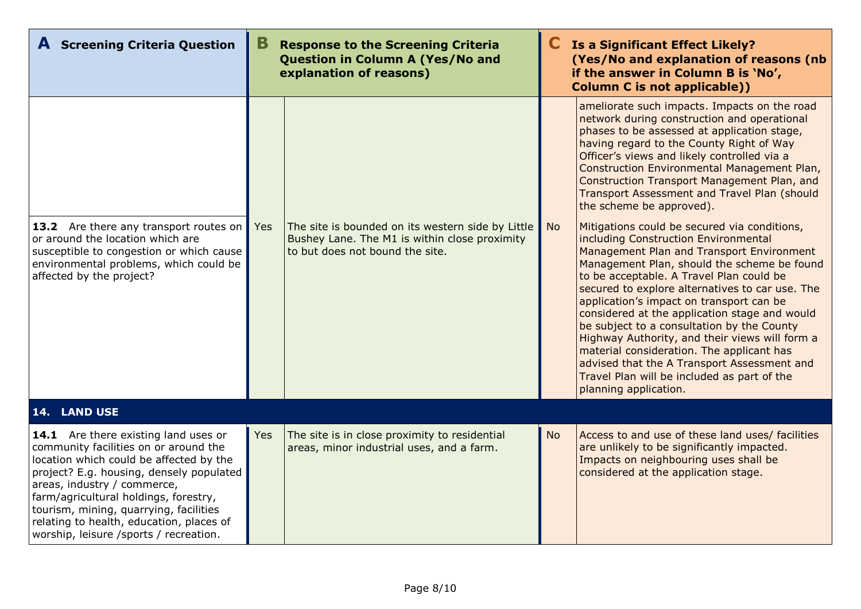| <b>A</b> Screening Criteria Question                                                                                                                                                                                                                                                                                                                                         | В<br><b>Response to the Screening Criteria</b><br>Question in Column A (Yes/No and<br>explanation of reasons) |                                                                                                                                       |           | Is a Significant Effect Likely?<br>(Yes/No and explanation of reasons (nb<br>if the answer in Column B is 'No',<br><b>Column C is not applicable))</b>                                                                                                                                                                                                                                                                                                                                                                                                                                                                                           |  |
|------------------------------------------------------------------------------------------------------------------------------------------------------------------------------------------------------------------------------------------------------------------------------------------------------------------------------------------------------------------------------|---------------------------------------------------------------------------------------------------------------|---------------------------------------------------------------------------------------------------------------------------------------|-----------|--------------------------------------------------------------------------------------------------------------------------------------------------------------------------------------------------------------------------------------------------------------------------------------------------------------------------------------------------------------------------------------------------------------------------------------------------------------------------------------------------------------------------------------------------------------------------------------------------------------------------------------------------|--|
|                                                                                                                                                                                                                                                                                                                                                                              |                                                                                                               |                                                                                                                                       |           | ameliorate such impacts. Impacts on the road<br>network during construction and operational<br>phases to be assessed at application stage,<br>having regard to the County Right of Way<br>Officer's views and likely controlled via a<br>Construction Environmental Management Plan,<br>Construction Transport Management Plan, and<br>Transport Assessment and Travel Plan (should<br>the scheme be approved).                                                                                                                                                                                                                                  |  |
| 13.2 Are there any transport routes on<br>or around the location which are<br>susceptible to congestion or which cause<br>environmental problems, which could be<br>affected by the project?                                                                                                                                                                                 | Yes                                                                                                           | The site is bounded on its western side by Little<br>Bushey Lane. The M1 is within close proximity<br>to but does not bound the site. | <b>No</b> | Mitigations could be secured via conditions,<br>including Construction Environmental<br>Management Plan and Transport Environment<br>Management Plan, should the scheme be found<br>to be acceptable. A Travel Plan could be<br>secured to explore alternatives to car use. The<br>application's impact on transport can be<br>considered at the application stage and would<br>be subject to a consultation by the County<br>Highway Authority, and their views will form a<br>material consideration. The applicant has<br>advised that the A Transport Assessment and<br>Travel Plan will be included as part of the<br>planning application. |  |
| 14. LAND USE                                                                                                                                                                                                                                                                                                                                                                 |                                                                                                               |                                                                                                                                       |           |                                                                                                                                                                                                                                                                                                                                                                                                                                                                                                                                                                                                                                                  |  |
| 14.1 Are there existing land uses or<br>community facilities on or around the<br>location which could be affected by the<br>project? E.g. housing, densely populated<br>areas, industry / commerce,<br>farm/agricultural holdings, forestry,<br>tourism, mining, quarrying, facilities<br>relating to health, education, places of<br>worship, leisure /sports / recreation. | Yes                                                                                                           | The site is in close proximity to residential<br>areas, minor industrial uses, and a farm.                                            | <b>No</b> | Access to and use of these land uses/ facilities<br>are unlikely to be significantly impacted.<br>Impacts on neighbouring uses shall be<br>considered at the application stage.                                                                                                                                                                                                                                                                                                                                                                                                                                                                  |  |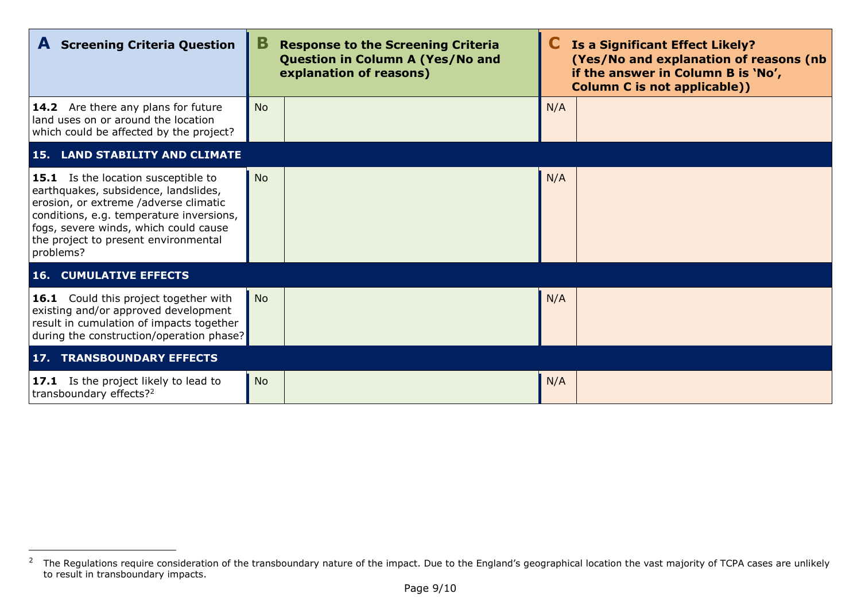| <b>A</b> Screening Criteria Question                                                                                                                                                                                                                           | В         | <b>Response to the Screening Criteria</b><br><b>Question in Column A (Yes/No and</b><br>explanation of reasons) |     | <b>Is a Significant Effect Likely?</b><br>(Yes/No and explanation of reasons (nb)<br>if the answer in Column B is 'No',<br><b>Column C is not applicable))</b> |
|----------------------------------------------------------------------------------------------------------------------------------------------------------------------------------------------------------------------------------------------------------------|-----------|-----------------------------------------------------------------------------------------------------------------|-----|----------------------------------------------------------------------------------------------------------------------------------------------------------------|
| <b>14.2</b> Are there any plans for future<br>land uses on or around the location<br>which could be affected by the project?                                                                                                                                   | <b>No</b> |                                                                                                                 | N/A |                                                                                                                                                                |
| <b>15. LAND STABILITY AND CLIMATE</b>                                                                                                                                                                                                                          |           |                                                                                                                 |     |                                                                                                                                                                |
| 15.1 Is the location susceptible to<br>earthquakes, subsidence, landslides,<br>erosion, or extreme /adverse climatic<br>conditions, e.g. temperature inversions,<br>fogs, severe winds, which could cause<br>the project to present environmental<br>problems? | <b>No</b> |                                                                                                                 | N/A |                                                                                                                                                                |
| <b>16. CUMULATIVE EFFECTS</b>                                                                                                                                                                                                                                  |           |                                                                                                                 |     |                                                                                                                                                                |
| 16.1 Could this project together with<br>existing and/or approved development<br>result in cumulation of impacts together<br>during the construction/operation phase?                                                                                          | <b>No</b> |                                                                                                                 | N/A |                                                                                                                                                                |
| <b>17. TRANSBOUNDARY EFFECTS</b>                                                                                                                                                                                                                               |           |                                                                                                                 |     |                                                                                                                                                                |
| 17.1 Is the project likely to lead to<br>transboundary effects? <sup>2</sup>                                                                                                                                                                                   | <b>No</b> |                                                                                                                 | N/A |                                                                                                                                                                |

-

 $2$  The Regulations require consideration of the transboundary nature of the impact. Due to the England's geographical location the vast majority of TCPA cases are unlikely to result in transboundary impacts.